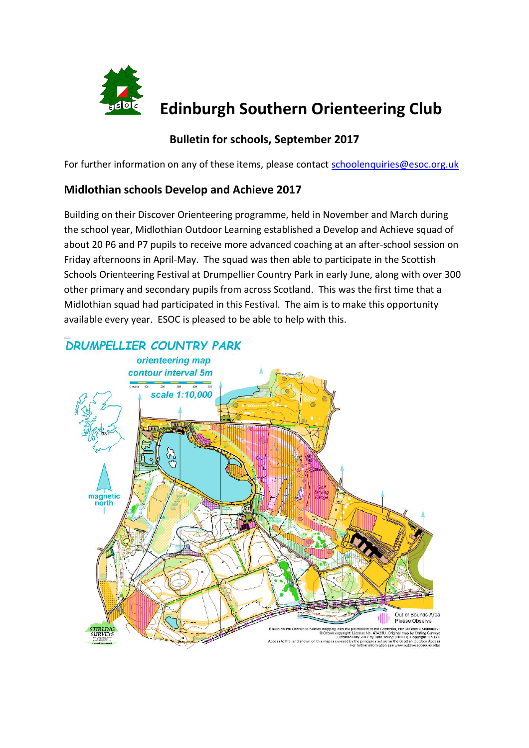

# **Edinburgh Southern Orienteering Club**

# **Bulletin for schools, September 2017**

For further information on any of these items, please contact [schoolenquiries@esoc.org.uk](mailto:schoolenquiries@esoc.org.uk)

## **Midlothian schools Develop and Achieve 2017**

Building on their Discover Orienteering programme, held in November and March during the school year, Midlothian Outdoor Learning established a Develop and Achieve squad of about 20 P6 and P7 pupils to receive more advanced coaching at an after-school session on Friday afternoons in April-May. The squad was then able to participate in the Scottish Schools Orienteering Festival at Drumpellier Country Park in early June, along with over 300 other primary and secondary pupils from across Scotland. This was the first time that a Midlothian squad had participated in this Festival. The aim is to make this opportunity available every year. ESOC is pleased to be able to help with this.

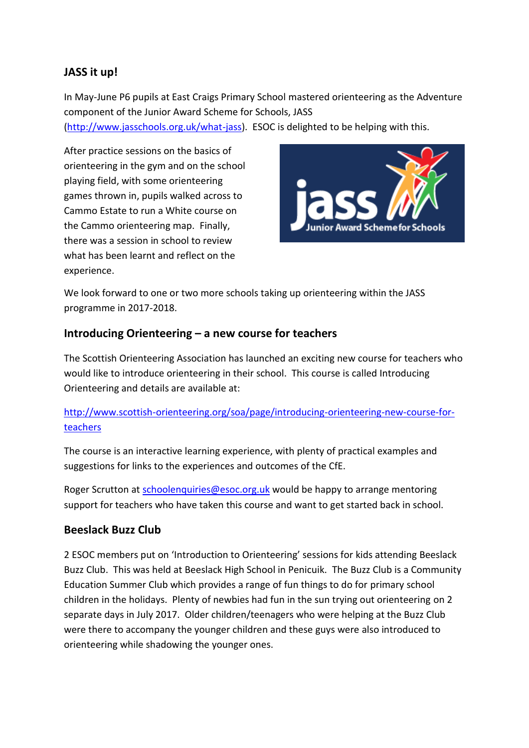# **JASS it up!**

In May-June P6 pupils at East Craigs Primary School mastered orienteering as the Adventure component of the Junior Award Scheme for Schools, JASS

[\(http://www.jasschools.org.uk/what-jass\)](http://www.jasschools.org.uk/what-jass). ESOC is delighted to be helping with this.

After practice sessions on the basics of orienteering in the gym and on the school playing field, with some orienteering games thrown in, pupils walked across to Cammo Estate to run a White course on the Cammo orienteering map. Finally, there was a session in school to review what has been learnt and reflect on the experience.



We look forward to one or two more schools taking up orienteering within the JASS programme in 2017-2018.

#### **Introducing Orienteering – a new course for teachers**

The Scottish Orienteering Association has launched an exciting new course for teachers who would like to introduce orienteering in their school. This course is called Introducing Orienteering and details are available at:

#### [http://www.scottish-orienteering.org/soa/page/introducing-orienteering-new-course-for](http://www.scottish-orienteering.org/soa/page/introducing-orienteering-new-course-for-teachers)[teachers](http://www.scottish-orienteering.org/soa/page/introducing-orienteering-new-course-for-teachers)

The course is an interactive learning experience, with plenty of practical examples and suggestions for links to the experiences and outcomes of the CfE.

Roger Scrutton at [schoolenquiries@esoc.org.uk](mailto:schoolenquiries@esoc.org.uk) would be happy to arrange mentoring support for teachers who have taken this course and want to get started back in school.

## **Beeslack Buzz Club**

2 ESOC members put on 'Introduction to Orienteering' sessions for kids attending Beeslack Buzz Club. This was held at Beeslack High School in Penicuik. The Buzz Club is a Community Education Summer Club which provides a range of fun things to do for primary school children in the holidays. Plenty of newbies had fun in the sun trying out orienteering on 2 separate days in July 2017. Older children/teenagers who were helping at the Buzz Club were there to accompany the younger children and these guys were also introduced to orienteering while shadowing the younger ones.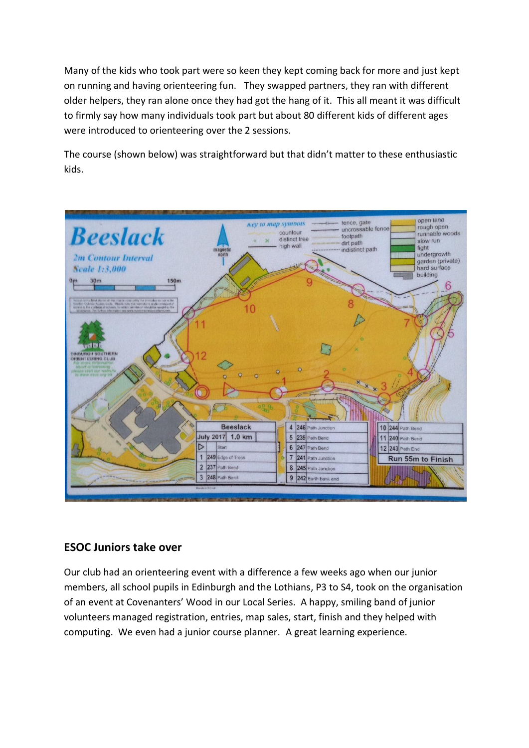Many of the kids who took part were so keen they kept coming back for more and just kept on running and having orienteering fun. They swapped partners, they ran with different older helpers, they ran alone once they had got the hang of it. This all meant it was difficult to firmly say how many individuals took part but about 80 different kids of different ages were introduced to orienteering over the 2 sessions.

The course (shown below) was straightforward but that didn't matter to these enthusiastic kids.



## **ESOC Juniors take over**

Our club had an orienteering event with a difference a few weeks ago when our junior members, all school pupils in Edinburgh and the Lothians, P3 to S4, took on the organisation of an event at Covenanters' Wood in our Local Series. A happy, smiling band of junior volunteers managed registration, entries, map sales, start, finish and they helped with computing. We even had a junior course planner. A great learning experience.